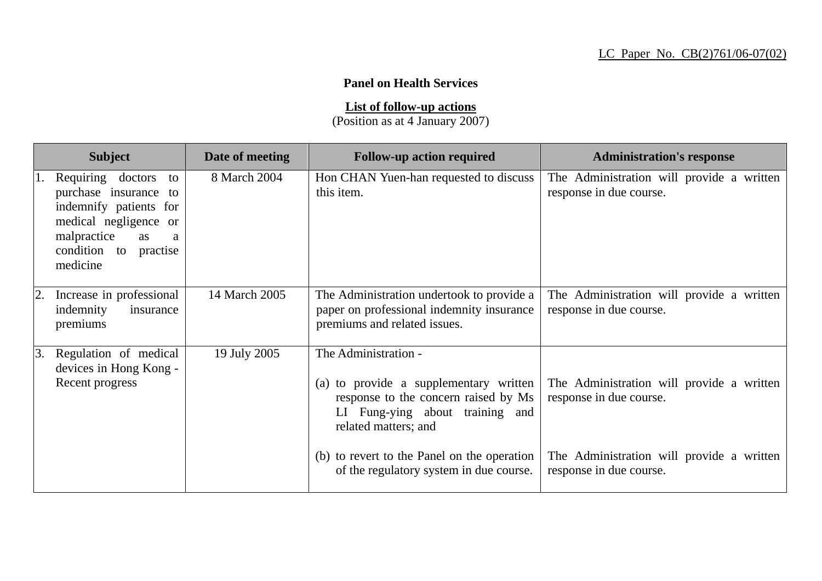## **Panel on Health Services**

**List of follow-up actions**

(Position as at 4 January 2007)

| <b>Subject</b>                                                                                                                                                     | Date of meeting | <b>Follow-up action required</b>                                                                                                                                  | <b>Administration's response</b>                                     |
|--------------------------------------------------------------------------------------------------------------------------------------------------------------------|-----------------|-------------------------------------------------------------------------------------------------------------------------------------------------------------------|----------------------------------------------------------------------|
| Requiring doctors<br>to<br>purchase insurance to<br>indemnify patients for<br>medical negligence or<br>malpractice<br>as<br>a<br>condition to practise<br>medicine | 8 March 2004    | Hon CHAN Yuen-han requested to discuss<br>this item.                                                                                                              | The Administration will provide a written<br>response in due course. |
| Increase in professional<br>2.<br>indemnity<br>insurance<br>premiums                                                                                               | 14 March 2005   | The Administration undertook to provide a<br>paper on professional indemnity insurance<br>premiums and related issues.                                            | The Administration will provide a written<br>response in due course. |
| 3.<br>Regulation of medical<br>devices in Hong Kong -<br>Recent progress                                                                                           | 19 July 2005    | The Administration -<br>(a) to provide a supplementary written<br>response to the concern raised by Ms<br>LI Fung-ying about training and<br>related matters; and | The Administration will provide a written<br>response in due course. |
|                                                                                                                                                                    |                 | (b) to revert to the Panel on the operation<br>of the regulatory system in due course.                                                                            | The Administration will provide a written<br>response in due course. |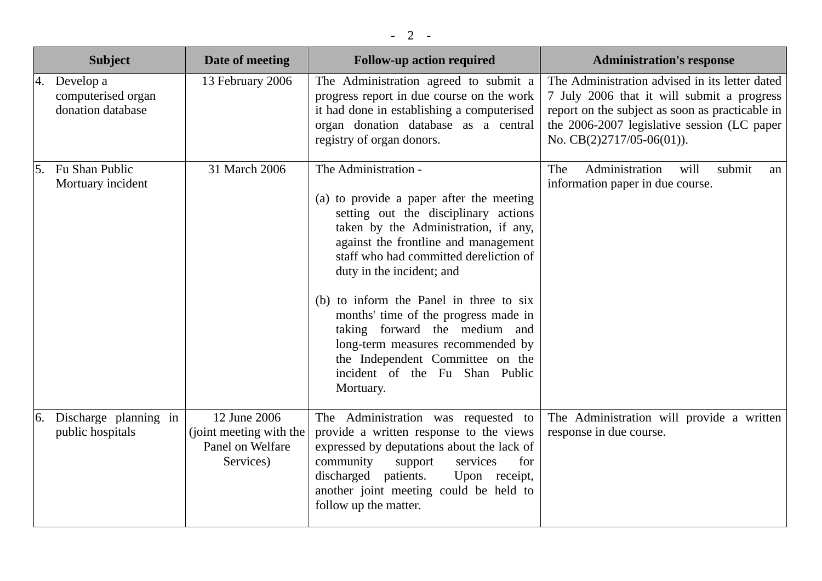|    | <b>Subject</b>                                          | Date of meeting                                                          | <b>Follow-up action required</b>                                                                                                                                                                                                                                                                                                                                                                                                                                                                            | <b>Administration's response</b>                                                                                                                                                                                              |
|----|---------------------------------------------------------|--------------------------------------------------------------------------|-------------------------------------------------------------------------------------------------------------------------------------------------------------------------------------------------------------------------------------------------------------------------------------------------------------------------------------------------------------------------------------------------------------------------------------------------------------------------------------------------------------|-------------------------------------------------------------------------------------------------------------------------------------------------------------------------------------------------------------------------------|
|    | 4. Develop a<br>computerised organ<br>donation database | 13 February 2006                                                         | The Administration agreed to submit a<br>progress report in due course on the work<br>it had done in establishing a computerised<br>organ donation database as a central<br>registry of organ donors.                                                                                                                                                                                                                                                                                                       | The Administration advised in its letter dated<br>7 July 2006 that it will submit a progress<br>report on the subject as soon as practicable in<br>the 2006-2007 legislative session (LC paper<br>No. $CB(2)2717/05-06(01)$ . |
| 5. | Fu Shan Public<br>Mortuary incident                     | 31 March 2006                                                            | The Administration -<br>(a) to provide a paper after the meeting<br>setting out the disciplinary actions<br>taken by the Administration, if any,<br>against the frontline and management<br>staff who had committed dereliction of<br>duty in the incident; and<br>(b) to inform the Panel in three to six<br>months' time of the progress made in<br>taking forward the medium and<br>long-term measures recommended by<br>the Independent Committee on the<br>incident of the Fu Shan Public<br>Mortuary. | Administration<br>The<br>submit<br>will<br>an<br>information paper in due course.                                                                                                                                             |
| 6. | Discharge planning in<br>public hospitals               | 12 June 2006<br>(joint meeting with the<br>Panel on Welfare<br>Services) | The Administration was requested to<br>provide a written response to the views<br>expressed by deputations about the lack of<br>community<br>support<br>services<br>for<br>discharged patients.<br>Upon receipt,<br>another joint meeting could be held to<br>follow up the matter.                                                                                                                                                                                                                         | The Administration will provide a written<br>response in due course.                                                                                                                                                          |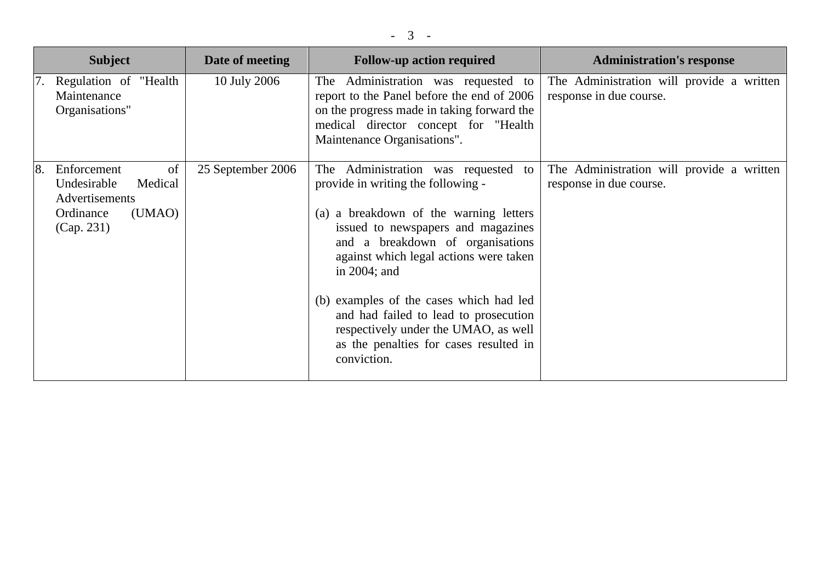| <b>Subject</b>                                                                           |                         | Date of meeting   | <b>Follow-up action required</b>                                                                                                                                                                                                                                                                                                                                                                                                                   | <b>Administration's response</b>                                     |
|------------------------------------------------------------------------------------------|-------------------------|-------------------|----------------------------------------------------------------------------------------------------------------------------------------------------------------------------------------------------------------------------------------------------------------------------------------------------------------------------------------------------------------------------------------------------------------------------------------------------|----------------------------------------------------------------------|
| Regulation of "Health<br>Maintenance<br>Organisations"                                   |                         | 10 July 2006      | The Administration was requested to<br>report to the Panel before the end of 2006<br>on the progress made in taking forward the<br>medical director concept for "Health<br>Maintenance Organisations".                                                                                                                                                                                                                                             | The Administration will provide a written<br>response in due course. |
| <sup>8.</sup><br>Enforcement<br>Undesirable<br>Advertisements<br>Ordinance<br>(Cap. 231) | of<br>Medical<br>(UMAO) | 25 September 2006 | The Administration was requested<br>to<br>provide in writing the following -<br>(a) a breakdown of the warning letters<br>issued to newspapers and magazines<br>and a breakdown of organisations<br>against which legal actions were taken<br>in $2004$ ; and<br>(b) examples of the cases which had led<br>and had failed to lead to prosecution<br>respectively under the UMAO, as well<br>as the penalties for cases resulted in<br>conviction. | The Administration will provide a written<br>response in due course. |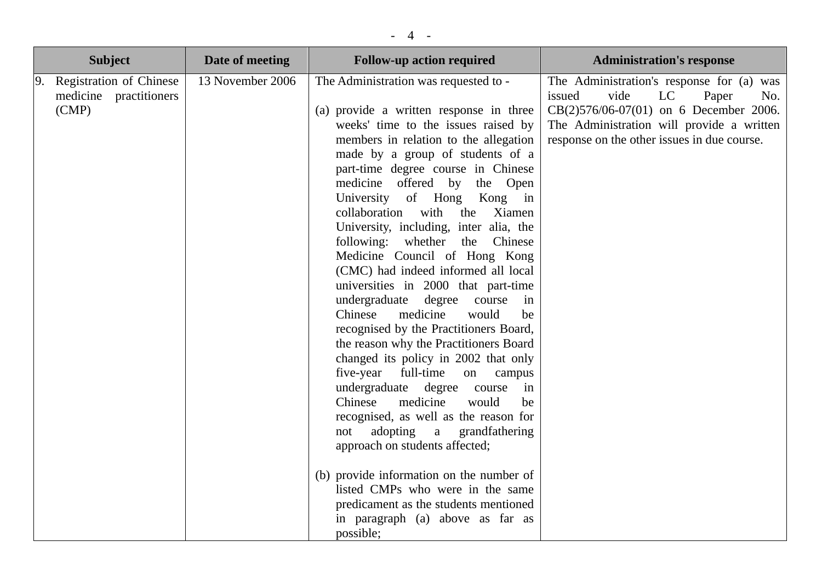|    | <b>Subject</b>                                                    | Date of meeting  | <b>Follow-up action required</b>                                                                                                                                                                                                                                                                                                                                                                                                                                                                                                                                                                                                                                                                                                                                                                                                                                                                                                                                                                                                                                                                                                                                                                | <b>Administration's response</b>                                                                                                                                                                                        |
|----|-------------------------------------------------------------------|------------------|-------------------------------------------------------------------------------------------------------------------------------------------------------------------------------------------------------------------------------------------------------------------------------------------------------------------------------------------------------------------------------------------------------------------------------------------------------------------------------------------------------------------------------------------------------------------------------------------------------------------------------------------------------------------------------------------------------------------------------------------------------------------------------------------------------------------------------------------------------------------------------------------------------------------------------------------------------------------------------------------------------------------------------------------------------------------------------------------------------------------------------------------------------------------------------------------------|-------------------------------------------------------------------------------------------------------------------------------------------------------------------------------------------------------------------------|
| 9. | <b>Registration of Chinese</b><br>medicine practitioners<br>(CMP) | 13 November 2006 | The Administration was requested to -<br>(a) provide a written response in three<br>weeks' time to the issues raised by<br>members in relation to the allegation<br>made by a group of students of a<br>part-time degree course in Chinese<br>medicine offered by the Open<br>University of Hong<br>Kong in<br>collaboration<br>with<br>the<br>Xiamen<br>University, including, inter alia, the<br>following: whether the<br>Chinese<br>Medicine Council of Hong Kong<br>(CMC) had indeed informed all local<br>universities in 2000 that part-time<br>undergraduate<br>degree<br>course<br>in<br>Chinese<br>medicine<br>would<br>be<br>recognised by the Practitioners Board,<br>the reason why the Practitioners Board<br>changed its policy in 2002 that only<br>five-year<br>full-time<br>on<br>campus<br>undergraduate degree course<br>in<br>Chinese<br>medicine<br>would<br>be<br>recognised, as well as the reason for<br>adopting<br>$\mathbf{a}$<br>grandfathering<br>not<br>approach on students affected;<br>(b) provide information on the number of<br>listed CMPs who were in the same<br>predicament as the students mentioned<br>in paragraph (a) above as far as<br>possible; | The Administration's response for (a) was<br>issued<br>vide<br>LC<br>Paper<br>No.<br>CB(2)576/06-07(01) on 6 December 2006.<br>The Administration will provide a written<br>response on the other issues in due course. |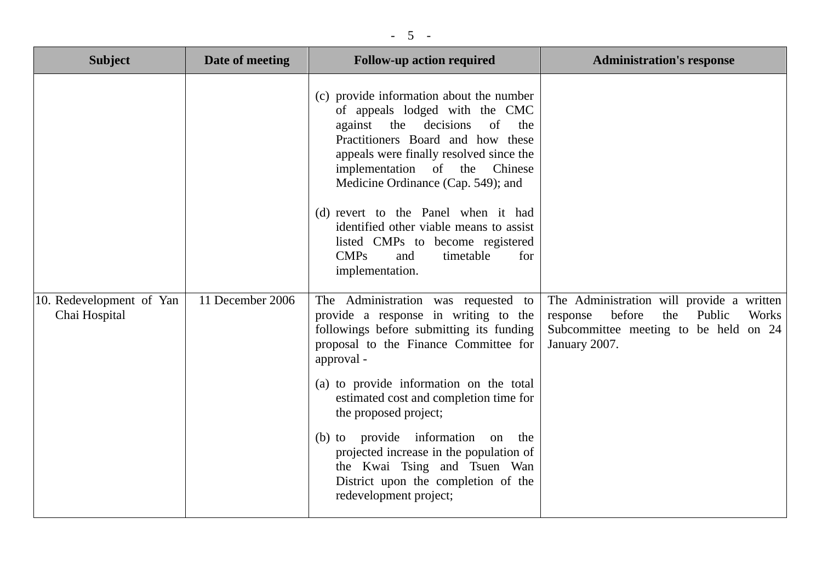| <b>Subject</b>                            | Date of meeting  | <b>Follow-up action required</b>                                                                                                                                                                                                                                                                                                                                                                                                                                                 | <b>Administration's response</b>                                                                                                                    |
|-------------------------------------------|------------------|----------------------------------------------------------------------------------------------------------------------------------------------------------------------------------------------------------------------------------------------------------------------------------------------------------------------------------------------------------------------------------------------------------------------------------------------------------------------------------|-----------------------------------------------------------------------------------------------------------------------------------------------------|
|                                           |                  | (c) provide information about the number<br>of appeals lodged with the CMC<br>against the decisions<br>of<br>the<br>Practitioners Board and how these<br>appeals were finally resolved since the<br>implementation of the Chinese<br>Medicine Ordinance (Cap. 549); and<br>(d) revert to the Panel when it had<br>identified other viable means to assist<br>listed CMPs to become registered<br>CMPs<br>timetable<br>and<br>for<br>implementation.                              |                                                                                                                                                     |
| 10. Redevelopment of Yan<br>Chai Hospital | 11 December 2006 | The Administration was requested to<br>provide a response in writing to the<br>followings before submitting its funding<br>proposal to the Finance Committee for<br>approval -<br>(a) to provide information on the total<br>estimated cost and completion time for<br>the proposed project;<br>(b) to provide information<br>on the<br>projected increase in the population of<br>the Kwai Tsing and Tsuen Wan<br>District upon the completion of the<br>redevelopment project; | The Administration will provide a written<br>before<br>the<br>Public<br>response<br>Works<br>Subcommittee meeting to be held on 24<br>January 2007. |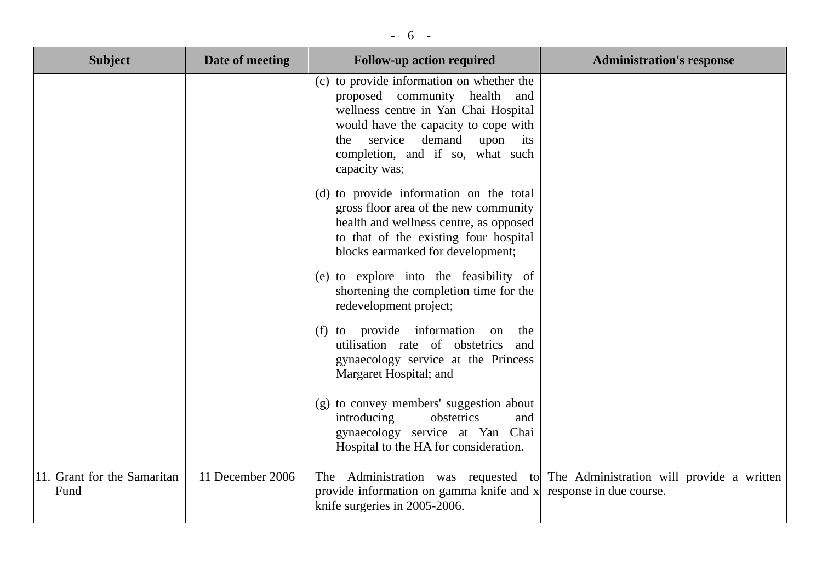| ., |
|----|
|----|

| <b>Subject</b>                      | Date of meeting  | <b>Follow-up action required</b>                                                                                                                                                                                                                           | <b>Administration's response</b>                                              |
|-------------------------------------|------------------|------------------------------------------------------------------------------------------------------------------------------------------------------------------------------------------------------------------------------------------------------------|-------------------------------------------------------------------------------|
|                                     |                  | (c) to provide information on whether the<br>proposed community health and<br>wellness centre in Yan Chai Hospital<br>would have the capacity to cope with<br>service<br>demand<br>upon<br>the<br>its<br>completion, and if so, what such<br>capacity was; |                                                                               |
|                                     |                  | (d) to provide information on the total<br>gross floor area of the new community<br>health and wellness centre, as opposed<br>to that of the existing four hospital<br>blocks earmarked for development;                                                   |                                                                               |
|                                     |                  | (e) to explore into the feasibility of<br>shortening the completion time for the<br>redevelopment project;                                                                                                                                                 |                                                                               |
|                                     |                  | (f) to provide information<br>the<br>on<br>utilisation rate of obstetrics<br>and<br>gynaecology service at the Princess<br>Margaret Hospital; and                                                                                                          |                                                                               |
|                                     |                  | (g) to convey members' suggestion about<br>introducing<br>obstetrics<br>and<br>gynaecology service at Yan Chai<br>Hospital to the HA for consideration.                                                                                                    |                                                                               |
| 11. Grant for the Samaritan<br>Fund | 11 December 2006 | provide information on gamma knife and $x$ response in due course.<br>knife surgeries in 2005-2006.                                                                                                                                                        | The Administration was requested to The Administration will provide a written |